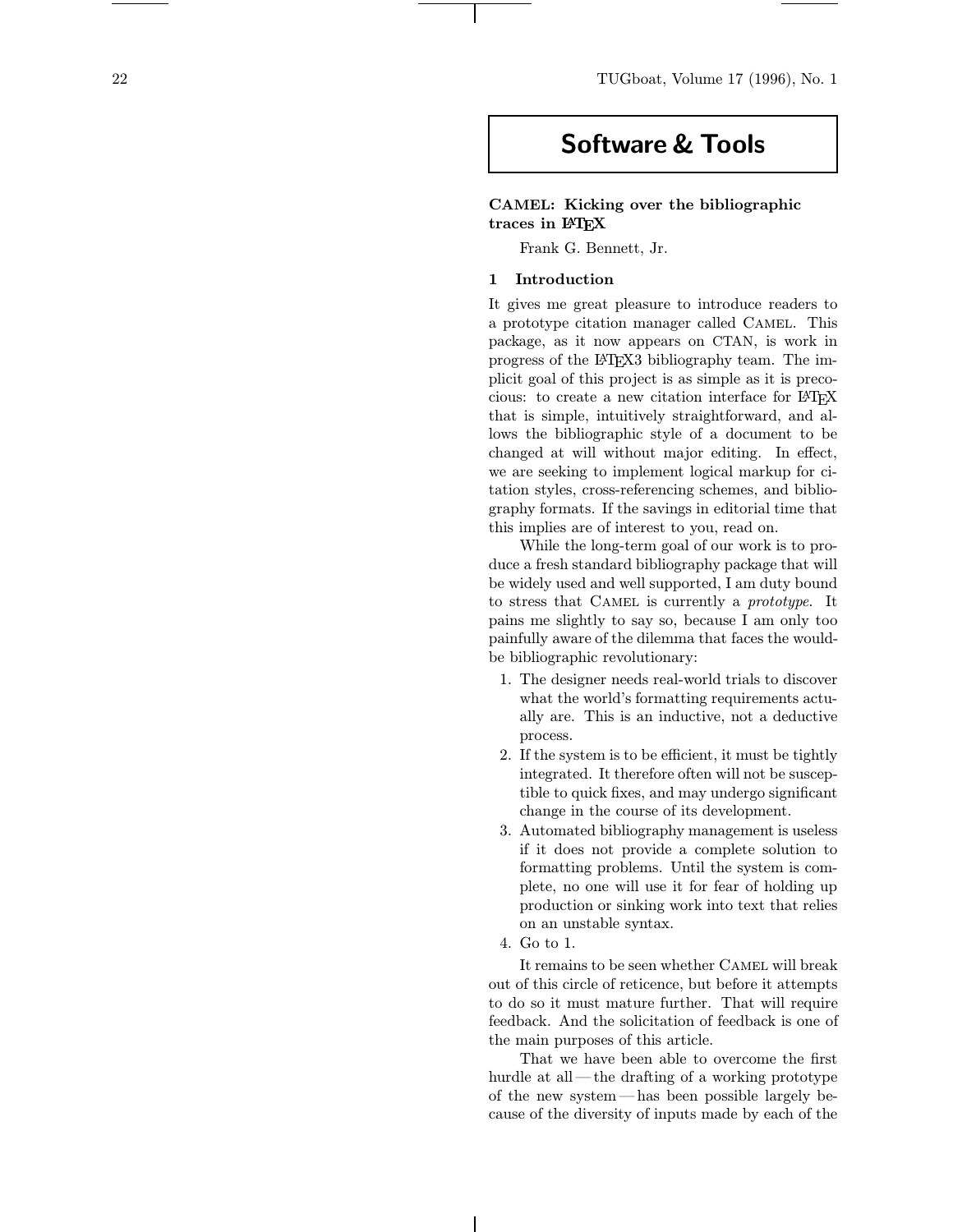# Software & Tools

# CAMEL: Kicking over the bibliographic traces in L<sup>AT</sup>EX

Frank G. Bennett, Jr.

## 1 Introduction

It gives me great pleasure to introduce readers to a prototype citation manager called Camel. This package, as it now appears on CTAN, is work in progress of the LATEX3 bibliography team. The implicit goal of this project is as simple as it is precocious: to create a new citation interface for LATEX that is simple, intuitively straightforward, and allows the bibliographic style of a document to be changed at will without major editing. In effect, we are seeking to implement logical markup for citation styles, cross-referencing schemes, and bibliography formats. If the savings in editorial time that this implies are of interest to you, read on.

While the long-term goal of our work is to produce a fresh standard bibliography package that will be widely used and well supported, I am duty bound to stress that CAMEL is currently a *prototype*. It pains me slightly to say so, because I am only too painfully aware of the dilemma that faces the wouldbe bibliographic revolutionary:

- 1. The designer needs real-world trials to discover what the world's formatting requirements actually are. This is an inductive, not a deductive process.
- 2. If the system is to be efficient, it must be tightly integrated. It therefore often will not be susceptible to quick fixes, and may undergo significant change in the course of its development.
- 3. Automated bibliography management is useless if it does not provide a complete solution to formatting problems. Until the system is complete, no one will use it for fear of holding up production or sinking work into text that relies on an unstable syntax.
- 4. Go to 1.

It remains to be seen whether Camel will break out of this circle of reticence, but before it attempts to do so it must mature further. That will require feedback. And the solicitation of feedback is one of the main purposes of this article.

That we have been able to overcome the first hurdle at all—the drafting of a working prototype of the new system—has been possible largely because of the diversity of inputs made by each of the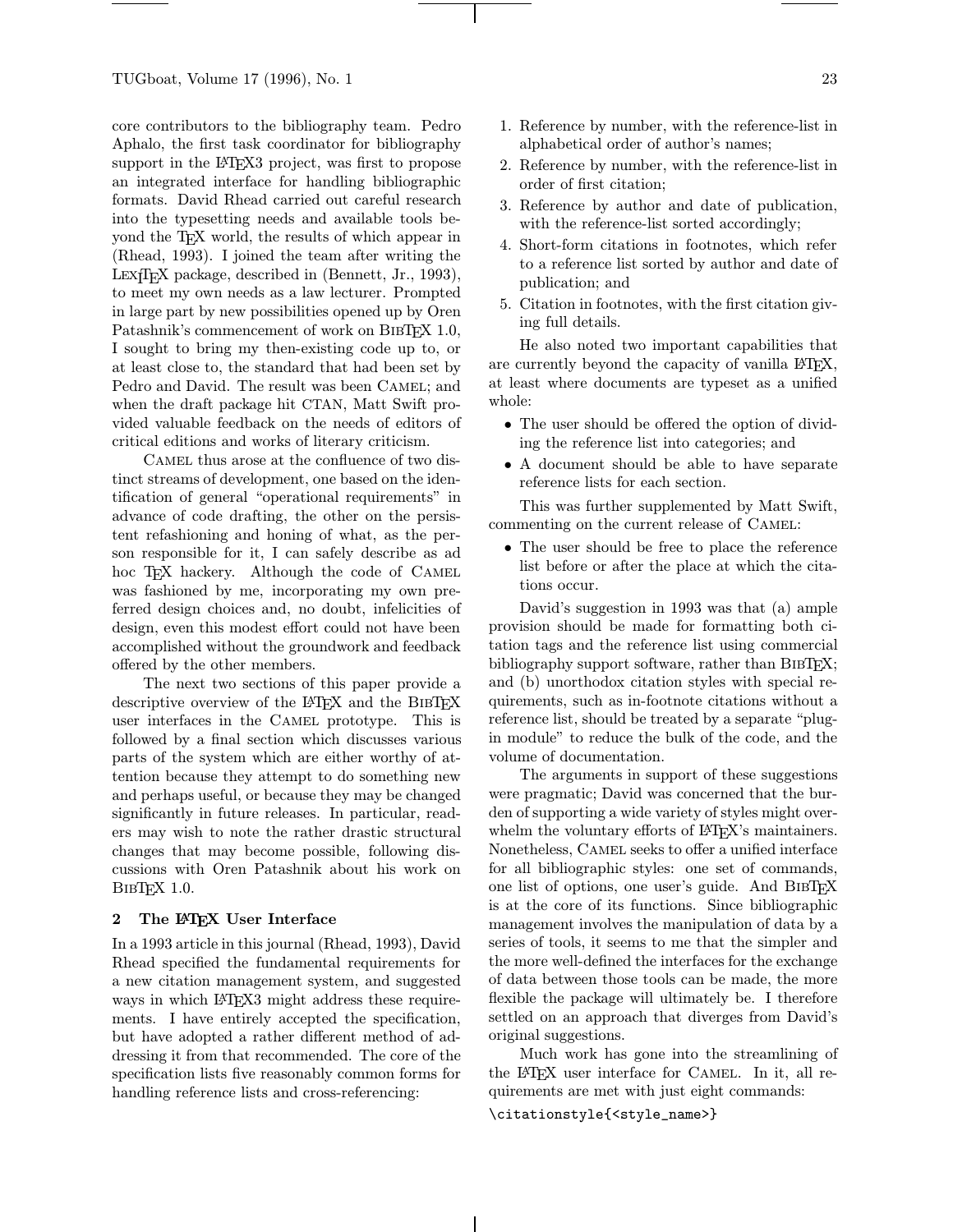core contributors to the bibliography team. Pedro Aphalo, the first task coordinator for bibliography support in the L<sup>AT</sup><sub>E</sub>X<sub>3</sub> project, was first to propose an integrated interface for handling bibliographic formats. David Rhead carried out careful research into the typesetting needs and available tools beyond the TEX world, the results of which appear in (Rhead, 1993). I joined the team after writing the LEX<sub>I</sub>T<sub>E</sub>X package, described in (Bennett, Jr., 1993), to meet my own needs as a law lecturer. Prompted in large part by new possibilities opened up by Oren Patashnik's commencement of work on BIBT<sub>EX</sub> 1.0, I sought to bring my then-existing code up to, or at least close to, the standard that had been set by Pedro and David. The result was been CAMEL; and when the draft package hit CTAN, Matt Swift provided valuable feedback on the needs of editors of critical editions and works of literary criticism.

CAMEL thus arose at the confluence of two distinct streams of development, one based on the identification of general "operational requirements" in advance of code drafting, the other on the persistent refashioning and honing of what, as the person responsible for it, I can safely describe as ad hoc TEX hackery. Although the code of CAMEL was fashioned by me, incorporating my own preferred design choices and, no doubt, infelicities of design, even this modest effort could not have been accomplished without the groundwork and feedback offered by the other members.

The next two sections of this paper provide a descriptive overview of the LAT<sub>E</sub>X and the BIBT<sub>E</sub>X user interfaces in the Camel prototype. This is followed by a final section which discusses various parts of the system which are either worthy of attention because they attempt to do something new and perhaps useful, or because they may be changed significantly in future releases. In particular, readers may wish to note the rather drastic structural changes that may become possible, following discussions with Oren Patashnik about his work on BibTEX 1.0.

#### 2 The L<sup>AT</sup>EX User Interface

In a 1993 article in this journal (Rhead, 1993), David Rhead specified the fundamental requirements for a new citation management system, and suggested ways in which LAT<sub>E</sub>X3 might address these requirements. I have entirely accepted the specification, but have adopted a rather different method of addressing it from that recommended. The core of the specification lists five reasonably common forms for handling reference lists and cross-referencing:

- 1. Reference by number, with the reference-list in alphabetical order of author's names;
- 2. Reference by number, with the reference-list in order of first citation;
- 3. Reference by author and date of publication, with the reference-list sorted accordingly;
- 4. Short-form citations in footnotes, which refer to a reference list sorted by author and date of publication; and
- 5. Citation in footnotes, with the first citation giving full details.

He also noted two important capabilities that are currently beyond the capacity of vanilla  $\mathbb{P}T\mathbb{F}X$ , at least where documents are typeset as a unified whole:

- The user should be offered the option of dividing the reference list into categories; and
- A document should be able to have separate reference lists for each section.

This was further supplemented by Matt Swift, commenting on the current release of Camel:

• The user should be free to place the reference list before or after the place at which the citations occur.

David's suggestion in 1993 was that (a) ample provision should be made for formatting both citation tags and the reference list using commercial bibliography support software, rather than BIBT<sub>EX</sub>; and (b) unorthodox citation styles with special requirements, such as in-footnote citations without a reference list, should be treated by a separate "plugin module" to reduce the bulk of the code, and the volume of documentation.

The arguments in support of these suggestions were pragmatic; David was concerned that the burden of supporting a wide variety of styles might overwhelm the voluntary efforts of LAT<sub>EX</sub>'s maintainers. Nonetheless, Camel seeks to offer a unified interface for all bibliographic styles: one set of commands, one list of options, one user's guide. And BIBTFX is at the core of its functions. Since bibliographic management involves the manipulation of data by a series of tools, it seems to me that the simpler and the more well-defined the interfaces for the exchange of data between those tools can be made, the more flexible the package will ultimately be. I therefore settled on an approach that diverges from David's original suggestions.

Much work has gone into the streamlining of the LATEX user interface for Camel. In it, all requirements are met with just eight commands: \citationstyle{<style\_name>}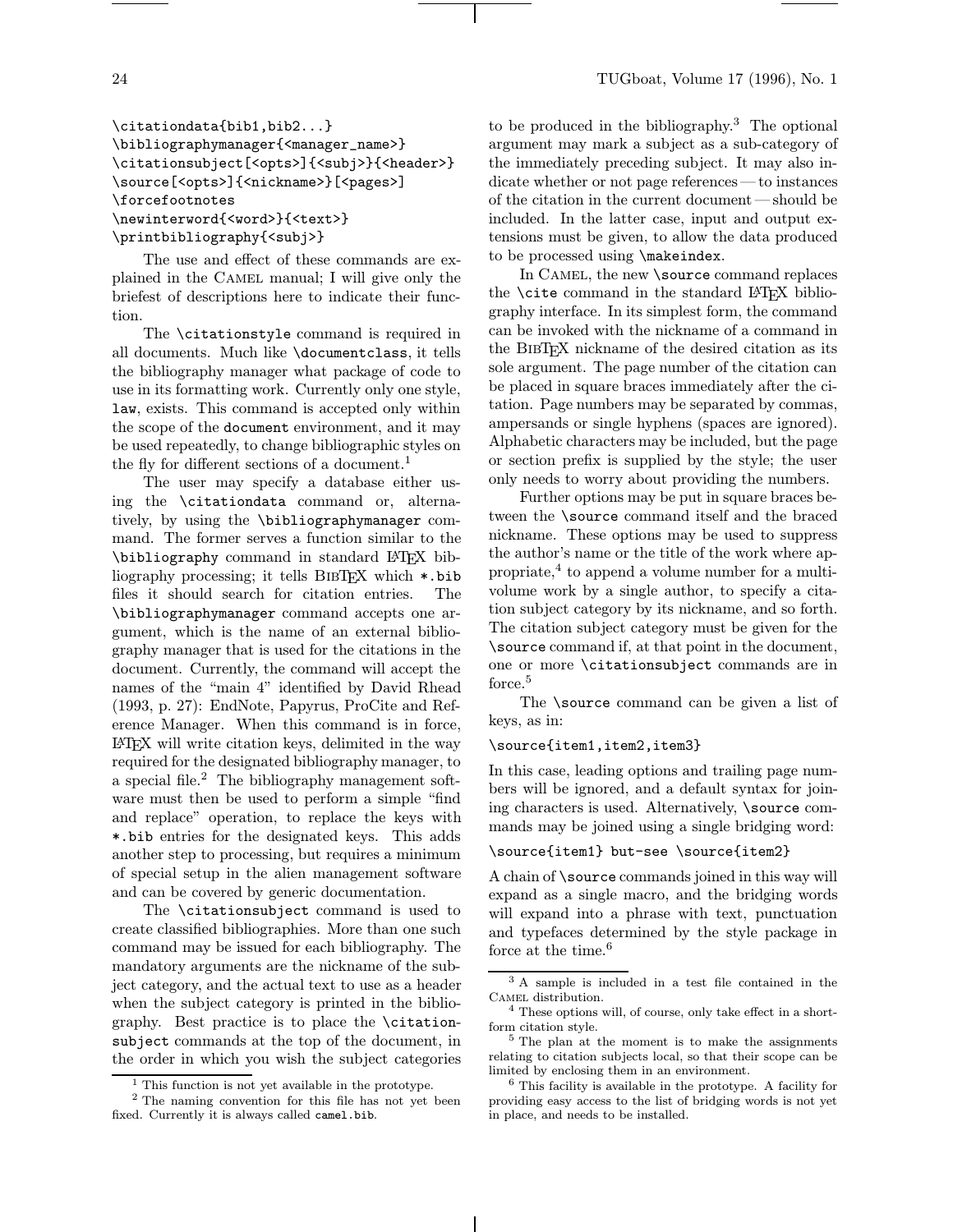# \citationdata{bib1,bib2...} \bibliographymanager{<manager\_name>} \citationsubject[<opts>]{<subj>}{<header>} \source[<opts>]{<nickname>}[<pages>] \forcefootnotes \newinterword{<word>}{<text>} \printbibliography{<subj>}

The use and effect of these commands are explained in the CAMEL manual; I will give only the briefest of descriptions here to indicate their function.

The \citationstyle command is required in all documents. Much like \documentclass, it tells the bibliography manager what package of code to use in its formatting work. Currently only one style, law, exists. This command is accepted only within the scope of the document environment, and it may be used repeatedly, to change bibliographic styles on the fly for different sections of a document.<sup>1</sup>

The user may specify a database either using the \citationdata command or, alternatively, by using the \bibliographymanager command. The former serves a function similar to the \bibliography command in standard LATEX bibliography processing; it tells BIBTFX which \*.bib files it should search for citation entries. The \bibliographymanager command accepts one argument, which is the name of an external bibliography manager that is used for the citations in the document. Currently, the command will accept the names of the "main 4" identified by David Rhead (1993, p. 27): EndNote, Papyrus, ProCite and Reference Manager. When this command is in force, LATEX will write citation keys, delimited in the way required for the designated bibliography manager, to a special file.<sup>2</sup> The bibliography management software must then be used to perform a simple "find and replace" operation, to replace the keys with \*.bib entries for the designated keys. This adds another step to processing, but requires a minimum of special setup in the alien management software and can be covered by generic documentation.

The \citationsubject command is used to create classified bibliographies. More than one such command may be issued for each bibliography. The mandatory arguments are the nickname of the subject category, and the actual text to use as a header when the subject category is printed in the bibliography. Best practice is to place the \citationsubject commands at the top of the document, in the order in which you wish the subject categories

to be produced in the bibliography.<sup>3</sup> The optional argument may mark a subject as a sub-category of the immediately preceding subject. It may also indicate whether or not page references—to instances of the citation in the current document—should be included. In the latter case, input and output extensions must be given, to allow the data produced to be processed using \makeindex.

In CAMEL, the new **\source** command replaces the **\cite** command in the standard LAT<sub>EX</sub> bibliography interface. In its simplest form, the command can be invoked with the nickname of a command in the BibTEX nickname of the desired citation as its sole argument. The page number of the citation can be placed in square braces immediately after the citation. Page numbers may be separated by commas, ampersands or single hyphens (spaces are ignored). Alphabetic characters may be included, but the page or section prefix is supplied by the style; the user only needs to worry about providing the numbers.

Further options may be put in square braces between the \source command itself and the braced nickname. These options may be used to suppress the author's name or the title of the work where appropriate,<sup>4</sup> to append a volume number for a multivolume work by a single author, to specify a citation subject category by its nickname, and so forth. The citation subject category must be given for the \source command if, at that point in the document, one or more \citationsubject commands are in force.<sup>5</sup>

The \source command can be given a list of keys, as in:

#### \source{item1,item2,item3}

In this case, leading options and trailing page numbers will be ignored, and a default syntax for joining characters is used. Alternatively, \source commands may be joined using a single bridging word:

#### \source{item1} but-see \source{item2}

A chain of \source commands joined in this way will expand as a single macro, and the bridging words will expand into a phrase with text, punctuation and typefaces determined by the style package in force at the time.<sup>6</sup>

<sup>&</sup>lt;sup>1</sup> This function is not yet available in the prototype.

<sup>2</sup> The naming convention for this file has not yet been fixed. Currently it is always called camel.bib.

<sup>3</sup> A sample is included in a test file contained in the Camel distribution.

<sup>4</sup> These options will, of course, only take effect in a shortform citation style.

<sup>5</sup> The plan at the moment is to make the assignments relating to citation subjects local, so that their scope can be limited by enclosing them in an environment.

<sup>6</sup> This facility is available in the prototype. A facility for providing easy access to the list of bridging words is not yet in place, and needs to be installed.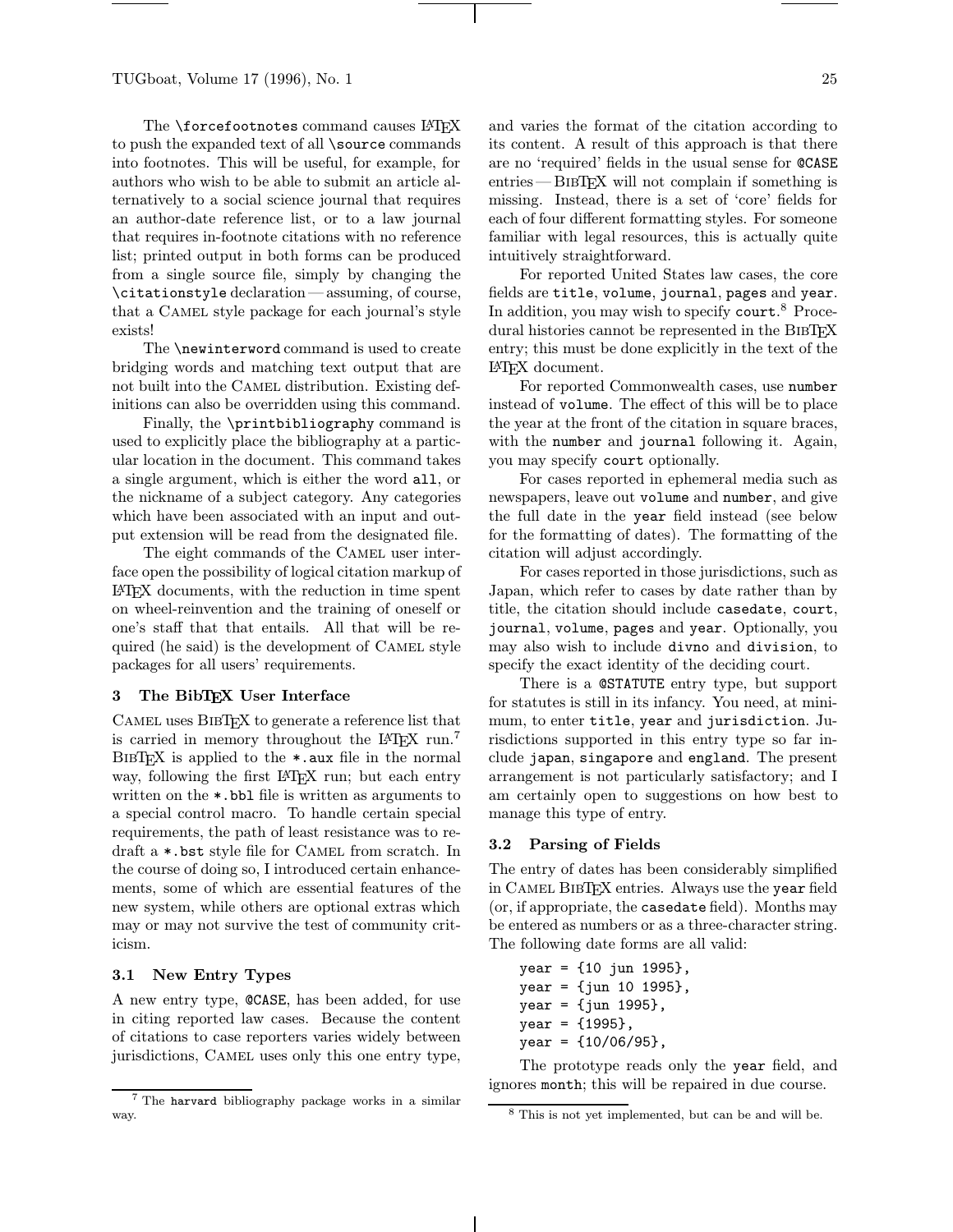The **\forcefootnotes** command causes LAT<sub>E</sub>X to push the expanded text of all \source commands into footnotes. This will be useful, for example, for authors who wish to be able to submit an article alternatively to a social science journal that requires an author-date reference list, or to a law journal that requires in-footnote citations with no reference list; printed output in both forms can be produced from a single source file, simply by changing the \citationstyle declaration—assuming, of course, that a Camel style package for each journal's style exists!

The \newinterword command is used to create bridging words and matching text output that are not built into the Camel distribution. Existing definitions can also be overridden using this command.

Finally, the \printbibliography command is used to explicitly place the bibliography at a particular location in the document. This command takes a single argument, which is either the word all, or the nickname of a subject category. Any categories which have been associated with an input and output extension will be read from the designated file.

The eight commands of the CAMEL user interface open the possibility of logical citation markup of LATEX documents, with the reduction in time spent on wheel-reinvention and the training of oneself or one's staff that that entails. All that will be required (he said) is the development of Camel style packages for all users' requirements.

#### 3 The BibTEX User Interface

CAMEL uses BIBTEX to generate a reference list that is carried in memory throughout the  $\text{LATEX}$  run.<sup>7</sup>  $BIBT$ <sub>EX</sub> is applied to the  $\ast$  aux file in the normal way, following the first LAT<sub>EX</sub> run; but each entry written on the \*.bbl file is written as arguments to a special control macro. To handle certain special requirements, the path of least resistance was to redraft a \*.bst style file for Camel from scratch. In the course of doing so, I introduced certain enhancements, some of which are essential features of the new system, while others are optional extras which may or may not survive the test of community criticism.

## 3.1 New Entry Types

A new entry type, @CASE, has been added, for use in citing reported law cases. Because the content of citations to case reporters varies widely between jurisdictions, Camel uses only this one entry type, and varies the format of the citation according to its content. A result of this approach is that there are no 'required' fields in the usual sense for @CASE entries—BIBT<sub>EX</sub> will not complain if something is missing. Instead, there is a set of 'core' fields for each of four different formatting styles. For someone familiar with legal resources, this is actually quite intuitively straightforward.

For reported United States law cases, the core fields are title, volume, journal, pages and year. In addition, you may wish to specify court. <sup>8</sup> Procedural histories cannot be represented in the BIBTEX entry; this must be done explicitly in the text of the LATEX document.

For reported Commonwealth cases, use number instead of volume. The effect of this will be to place the year at the front of the citation in square braces, with the number and journal following it. Again, you may specify court optionally.

For cases reported in ephemeral media such as newspapers, leave out volume and number, and give the full date in the year field instead (see below for the formatting of dates). The formatting of the citation will adjust accordingly.

For cases reported in those jurisdictions, such as Japan, which refer to cases by date rather than by title, the citation should include casedate, court, journal, volume, pages and year. Optionally, you may also wish to include divno and division, to specify the exact identity of the deciding court.

There is a @STATUTE entry type, but support for statutes is still in its infancy. You need, at minimum, to enter title, year and jurisdiction. Jurisdictions supported in this entry type so far include japan, singapore and england. The present arrangement is not particularly satisfactory; and I am certainly open to suggestions on how best to manage this type of entry.

#### 3.2 Parsing of Fields

The entry of dates has been considerably simplified in Camel BibTEX entries. Always use the year field (or, if appropriate, the casedate field). Months may be entered as numbers or as a three-character string. The following date forms are all valid:

year = {10 jun 1995}, year = {jun 10 1995}, year = {jun 1995}, year = {1995}, year = {10/06/95},

The prototype reads only the year field, and ignores month; this will be repaired in due course.

<sup>7</sup> The harvard bibliography package works in a similar way.

<sup>8</sup> This is not yet implemented, but can be and will be.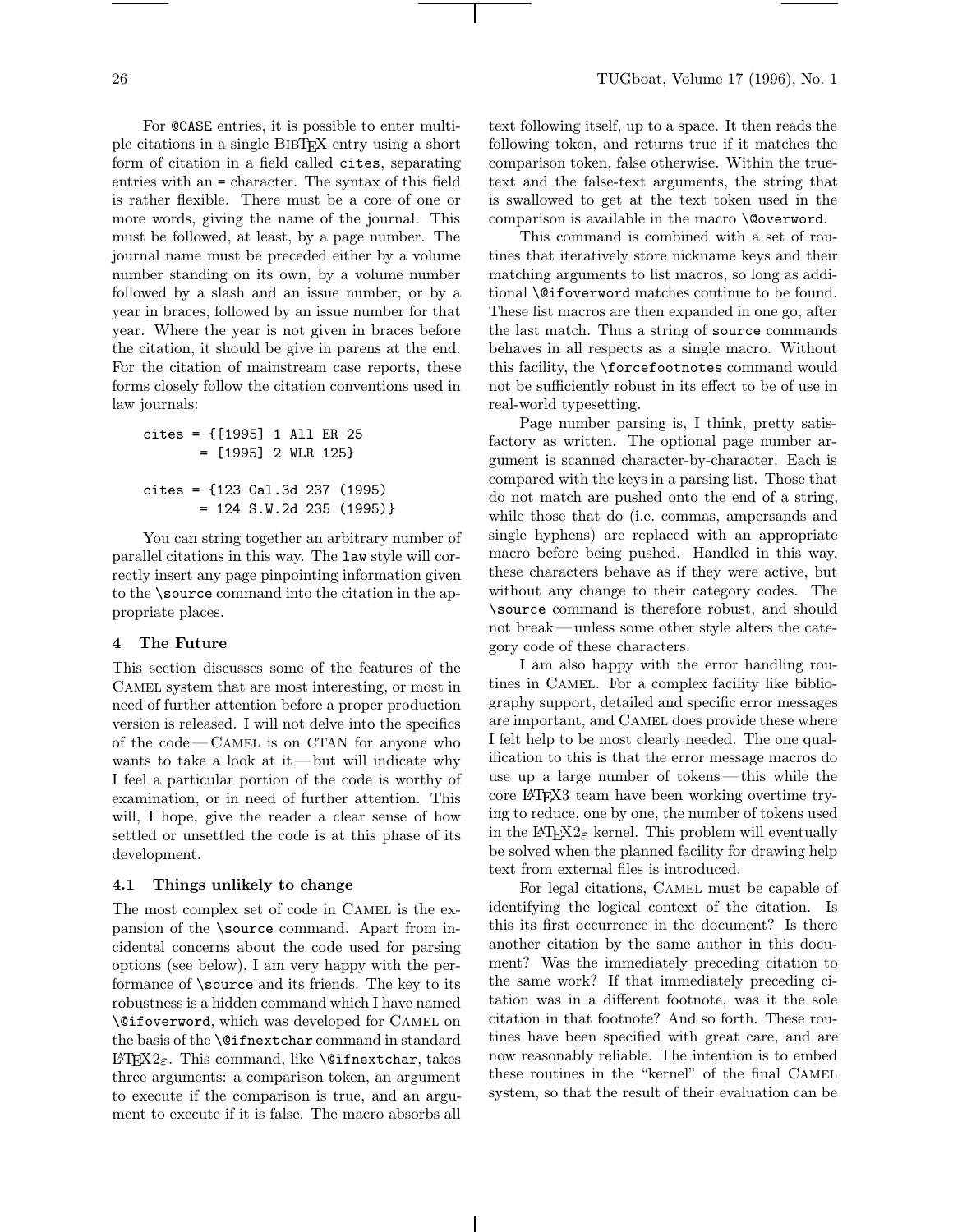For @CASE entries, it is possible to enter multiple citations in a single BibTEX entry using a short form of citation in a field called cites, separating entries with an = character. The syntax of this field is rather flexible. There must be a core of one or more words, giving the name of the journal. This must be followed, at least, by a page number. The journal name must be preceded either by a volume number standing on its own, by a volume number followed by a slash and an issue number, or by a year in braces, followed by an issue number for that year. Where the year is not given in braces before the citation, it should be give in parens at the end. For the citation of mainstream case reports, these forms closely follow the citation conventions used in law journals:

```
cites = {[1995] 1 All ER 25
       = [1995] 2 WLR 125}
cites = {123 Cal.3d 237 (1995)
       = 124 S.W.2d 235 (1995)}
```
You can string together an arbitrary number of parallel citations in this way. The law style will correctly insert any page pinpointing information given to the \source command into the citation in the appropriate places.

### 4 The Future

This section discusses some of the features of the Camel system that are most interesting, or most in need of further attention before a proper production version is released. I will not delve into the specifics of the code—Camel is on CTAN for anyone who wants to take a look at it —but will indicate why I feel a particular portion of the code is worthy of examination, or in need of further attention. This will, I hope, give the reader a clear sense of how settled or unsettled the code is at this phase of its development.

#### 4.1 Things unlikely to change

The most complex set of code in CAMEL is the expansion of the \source command. Apart from incidental concerns about the code used for parsing options (see below), I am very happy with the performance of \source and its friends. The key to its robustness is a hidden command which I have named \@ifoverword, which was developed for Camel on the basis of the \@ifnextchar command in standard LATFX2 $\varepsilon$ . This command, like **\@ifnextchar**, takes three arguments: a comparison token, an argument to execute if the comparison is true, and an argument to execute if it is false. The macro absorbs all

text following itself, up to a space. It then reads the following token, and returns true if it matches the comparison token, false otherwise. Within the truetext and the false-text arguments, the string that is swallowed to get at the text token used in the comparison is available in the macro \@overword.

This command is combined with a set of routines that iteratively store nickname keys and their matching arguments to list macros, so long as additional \@ifoverword matches continue to be found. These list macros are then expanded in one go, after the last match. Thus a string of source commands behaves in all respects as a single macro. Without this facility, the \forcefootnotes command would not be sufficiently robust in its effect to be of use in real-world typesetting.

Page number parsing is, I think, pretty satisfactory as written. The optional page number argument is scanned character-by-character. Each is compared with the keys in a parsing list. Those that do not match are pushed onto the end of a string, while those that do (i.e. commas, ampersands and single hyphens) are replaced with an appropriate macro before being pushed. Handled in this way, these characters behave as if they were active, but without any change to their category codes. The \source command is therefore robust, and should not break—unless some other style alters the category code of these characters.

I am also happy with the error handling routines in Camel. For a complex facility like bibliography support, detailed and specific error messages are important, and Camel does provide these where I felt help to be most clearly needed. The one qualification to this is that the error message macros do use up a large number of tokens—this while the core LATEX3 team have been working overtime trying to reduce, one by one, the number of tokens used in the LAT<sub>E</sub>X<sub>2</sub> kernel. This problem will eventually be solved when the planned facility for drawing help text from external files is introduced.

For legal citations, Camel must be capable of identifying the logical context of the citation. Is this its first occurrence in the document? Is there another citation by the same author in this document? Was the immediately preceding citation to the same work? If that immediately preceding citation was in a different footnote, was it the sole citation in that footnote? And so forth. These routines have been specified with great care, and are now reasonably reliable. The intention is to embed these routines in the "kernel" of the final Camel system, so that the result of their evaluation can be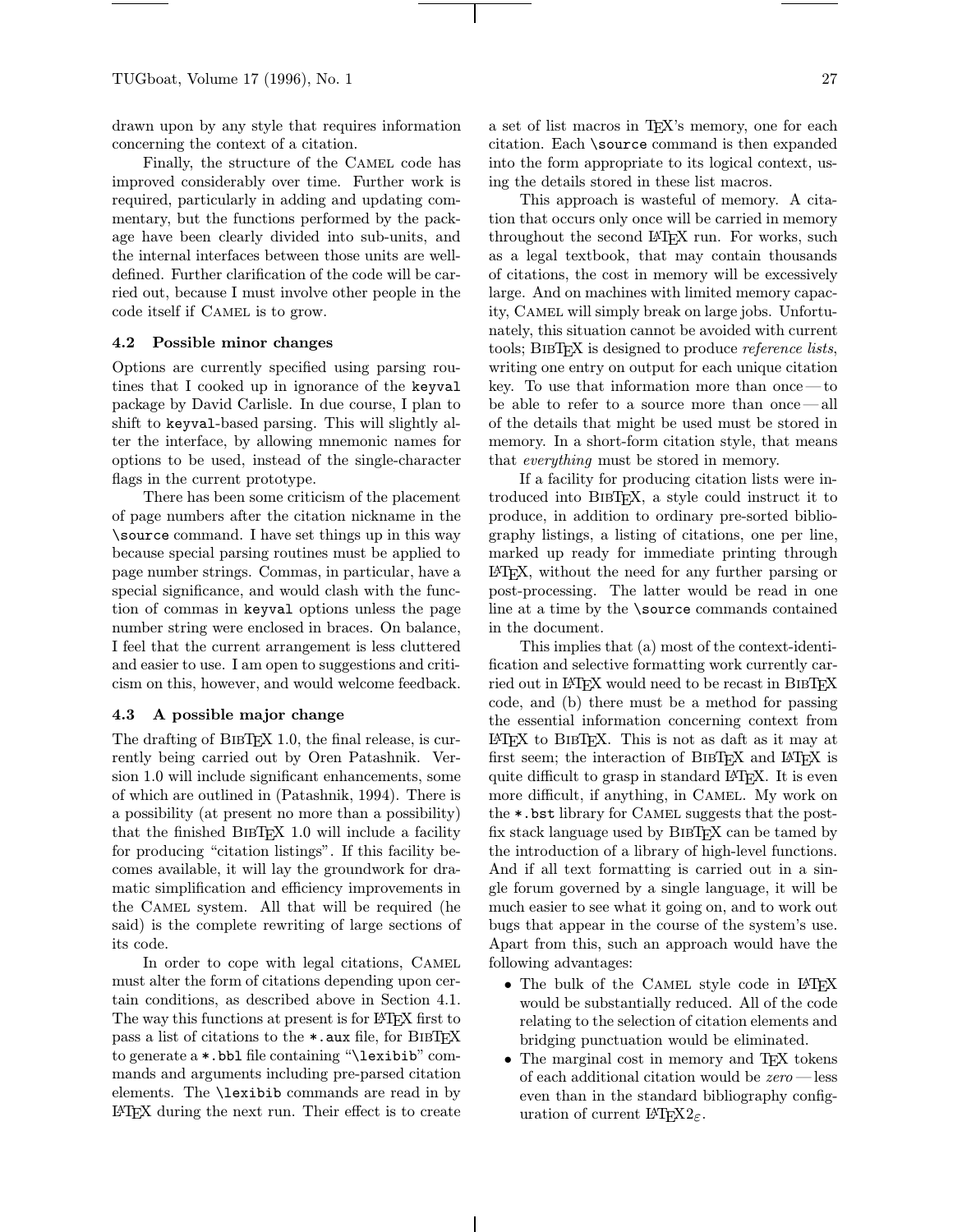drawn upon by any style that requires information concerning the context of a citation.

Finally, the structure of the CAMEL code has improved considerably over time. Further work is required, particularly in adding and updating commentary, but the functions performed by the package have been clearly divided into sub-units, and the internal interfaces between those units are welldefined. Further clarification of the code will be carried out, because I must involve other people in the code itself if Camel is to grow.

#### 4.2 Possible minor changes

Options are currently specified using parsing routines that I cooked up in ignorance of the keyval package by David Carlisle. In due course, I plan to shift to keyval-based parsing. This will slightly alter the interface, by allowing mnemonic names for options to be used, instead of the single-character flags in the current prototype.

There has been some criticism of the placement of page numbers after the citation nickname in the \source command. I have set things up in this way because special parsing routines must be applied to page number strings. Commas, in particular, have a special significance, and would clash with the function of commas in keyval options unless the page number string were enclosed in braces. On balance, I feel that the current arrangement is less cluttered and easier to use. I am open to suggestions and criticism on this, however, and would welcome feedback.

#### 4.3 A possible major change

The drafting of BIBT<sub>EX</sub> 1.0, the final release, is currently being carried out by Oren Patashnik. Version 1.0 will include significant enhancements, some of which are outlined in (Patashnik, 1994). There is a possibility (at present no more than a possibility) that the finished BibTEX 1.0 will include a facility for producing "citation listings". If this facility becomes available, it will lay the groundwork for dramatic simplification and efficiency improvements in the Camel system. All that will be required (he said) is the complete rewriting of large sections of its code.

In order to cope with legal citations, CAMEL must alter the form of citations depending upon certain conditions, as described above in Section 4.1. The way this functions at present is for LATEX first to pass a list of citations to the \*.aux file, for BibTEX to generate a \*.bbl file containing "\lexibib" commands and arguments including pre-parsed citation elements. The \lexibib commands are read in by LATEX during the next run. Their effect is to create a set of list macros in TEX's memory, one for each citation. Each \source command is then expanded into the form appropriate to its logical context, using the details stored in these list macros.

This approach is wasteful of memory. A citation that occurs only once will be carried in memory throughout the second LATEX run. For works, such as a legal textbook, that may contain thousands of citations, the cost in memory will be excessively large. And on machines with limited memory capacity, Camel will simply break on large jobs. Unfortunately, this situation cannot be avoided with current tools; BIBTEX is designed to produce *reference lists*, writing one entry on output for each unique citation key. To use that information more than once—to be able to refer to a source more than once—all of the details that might be used must be stored in memory. In a short-form citation style, that means that everything must be stored in memory.

If a facility for producing citation lists were introduced into BibTEX, a style could instruct it to produce, in addition to ordinary pre-sorted bibliography listings, a listing of citations, one per line, marked up ready for immediate printing through LATEX, without the need for any further parsing or post-processing. The latter would be read in one line at a time by the \source commands contained in the document.

This implies that (a) most of the context-identification and selective formatting work currently carried out in LAT<sub>E</sub>X would need to be recast in BIBT<sub>E</sub>X code, and (b) there must be a method for passing the essential information concerning context from LATEX to BibTEX. This is not as daft as it may at first seem; the interaction of BIBTEX and LATEX is quite difficult to grasp in standard LAT<sub>EX</sub>. It is even more difficult, if anything, in Camel. My work on the \*.bst library for Camel suggests that the postfix stack language used by BibTEX can be tamed by the introduction of a library of high-level functions. And if all text formatting is carried out in a single forum governed by a single language, it will be much easier to see what it going on, and to work out bugs that appear in the course of the system's use. Apart from this, such an approach would have the following advantages:

- The bulk of the CAMEL style code in LAT<sub>EX</sub> would be substantially reduced. All of the code relating to the selection of citation elements and bridging punctuation would be eliminated.
- The marginal cost in memory and TFX tokens of each additional citation would be zero —less even than in the standard bibliography configuration of current  $\mathbb{F} \mathbb{F} \mathbb{X} 2_{\varepsilon}$ .